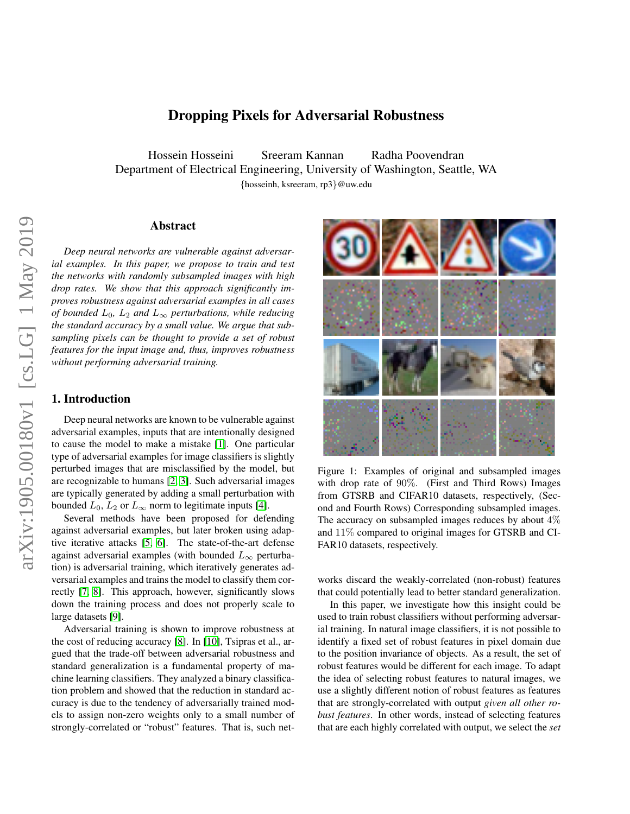# Dropping Pixels for Adversarial Robustness

Hossein Hosseini Sreeram Kannan Radha Poovendran Department of Electrical Engineering, University of Washington, Seattle, WA {hosseinh, ksreeram, rp3}@uw.edu

# Abstract

*Deep neural networks are vulnerable against adversarial examples. In this paper, we propose to train and test the networks with randomly subsampled images with high drop rates. We show that this approach significantly improves robustness against adversarial examples in all cases of bounded*  $L_0$ ,  $L_2$  *and*  $L_{\infty}$  *perturbations, while reducing the standard accuracy by a small value. We argue that subsampling pixels can be thought to provide a set of robust features for the input image and, thus, improves robustness without performing adversarial training.*

# 1. Introduction

Deep neural networks are known to be vulnerable against adversarial examples, inputs that are intentionally designed to cause the model to make a mistake [\[1\]](#page-6-0). One particular type of adversarial examples for image classifiers is slightly perturbed images that are misclassified by the model, but are recognizable to humans [\[2,](#page-6-1) [3\]](#page-6-2). Such adversarial images are typically generated by adding a small perturbation with bounded  $L_0$ ,  $L_2$  or  $L_{\infty}$  norm to legitimate inputs [\[4\]](#page-6-3).

Several methods have been proposed for defending against adversarial examples, but later broken using adaptive iterative attacks [\[5,](#page-6-4) [6\]](#page-6-5). The state-of-the-art defense against adversarial examples (with bounded  $L_{\infty}$  perturbation) is adversarial training, which iteratively generates adversarial examples and trains the model to classify them correctly [\[7,](#page-6-6) [8\]](#page-6-7). This approach, however, significantly slows down the training process and does not properly scale to large datasets [\[9\]](#page-6-8).

Adversarial training is shown to improve robustness at the cost of reducing accuracy [\[8\]](#page-6-7). In [\[10\]](#page-6-9), Tsipras et al., argued that the trade-off between adversarial robustness and standard generalization is a fundamental property of machine learning classifiers. They analyzed a binary classification problem and showed that the reduction in standard accuracy is due to the tendency of adversarially trained models to assign non-zero weights only to a small number of strongly-correlated or "robust" features. That is, such net-

<span id="page-0-0"></span>

Figure 1: Examples of original and subsampled images with drop rate of 90%. (First and Third Rows) Images from GTSRB and CIFAR10 datasets, respectively, (Second and Fourth Rows) Corresponding subsampled images. The accuracy on subsampled images reduces by about  $4\%$ and 11% compared to original images for GTSRB and CI-FAR10 datasets, respectively.

works discard the weakly-correlated (non-robust) features that could potentially lead to better standard generalization.

In this paper, we investigate how this insight could be used to train robust classifiers without performing adversarial training. In natural image classifiers, it is not possible to identify a fixed set of robust features in pixel domain due to the position invariance of objects. As a result, the set of robust features would be different for each image. To adapt the idea of selecting robust features to natural images, we use a slightly different notion of robust features as features that are strongly-correlated with output *given all other robust features*. In other words, instead of selecting features that are each highly correlated with output, we select the *set*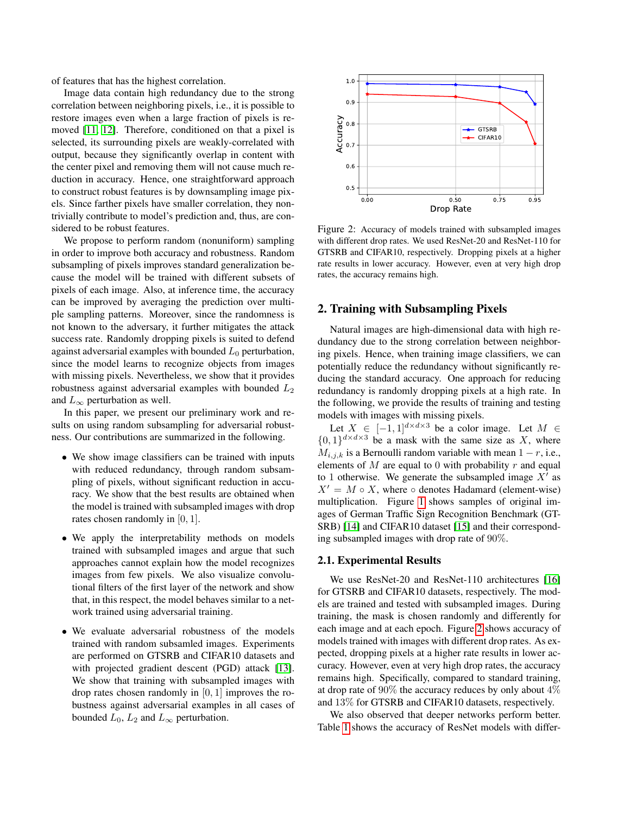of features that has the highest correlation.

Image data contain high redundancy due to the strong correlation between neighboring pixels, i.e., it is possible to restore images even when a large fraction of pixels is removed [\[11,](#page-6-10) [12\]](#page-6-11). Therefore, conditioned on that a pixel is selected, its surrounding pixels are weakly-correlated with output, because they significantly overlap in content with the center pixel and removing them will not cause much reduction in accuracy. Hence, one straightforward approach to construct robust features is by downsampling image pixels. Since farther pixels have smaller correlation, they nontrivially contribute to model's prediction and, thus, are considered to be robust features.

We propose to perform random (nonuniform) sampling in order to improve both accuracy and robustness. Random subsampling of pixels improves standard generalization because the model will be trained with different subsets of pixels of each image. Also, at inference time, the accuracy can be improved by averaging the prediction over multiple sampling patterns. Moreover, since the randomness is not known to the adversary, it further mitigates the attack success rate. Randomly dropping pixels is suited to defend against adversarial examples with bounded  $L_0$  perturbation, since the model learns to recognize objects from images with missing pixels. Nevertheless, we show that it provides robustness against adversarial examples with bounded  $L_2$ and  $L_{\infty}$  perturbation as well.

In this paper, we present our preliminary work and results on using random subsampling for adversarial robustness. Our contributions are summarized in the following.

- We show image classifiers can be trained with inputs with reduced redundancy, through random subsampling of pixels, without significant reduction in accuracy. We show that the best results are obtained when the model is trained with subsampled images with drop rates chosen randomly in [0, 1].
- We apply the interpretability methods on models trained with subsampled images and argue that such approaches cannot explain how the model recognizes images from few pixels. We also visualize convolutional filters of the first layer of the network and show that, in this respect, the model behaves similar to a network trained using adversarial training.
- We evaluate adversarial robustness of the models trained with random subsamled images. Experiments are performed on GTSRB and CIFAR10 datasets and with projected gradient descent (PGD) attack [\[13\]](#page-6-12). We show that training with subsampled images with drop rates chosen randomly in  $[0, 1]$  improves the robustness against adversarial examples in all cases of bounded  $L_0$ ,  $L_2$  and  $L_{\infty}$  perturbation.

<span id="page-1-0"></span>

Figure 2: Accuracy of models trained with subsampled images with different drop rates. We used ResNet-20 and ResNet-110 for GTSRB and CIFAR10, respectively. Dropping pixels at a higher rate results in lower accuracy. However, even at very high drop rates, the accuracy remains high.

### 2. Training with Subsampling Pixels

Natural images are high-dimensional data with high redundancy due to the strong correlation between neighboring pixels. Hence, when training image classifiers, we can potentially reduce the redundancy without significantly reducing the standard accuracy. One approach for reducing redundancy is randomly dropping pixels at a high rate. In the following, we provide the results of training and testing models with images with missing pixels.

Let  $X \in [-1,1]^{d \times d \times 3}$  be a color image. Let  $M \in$  $\{0,1\}^{d \times d \times 3}$  be a mask with the same size as X, where  $M_{i,j,k}$  is a Bernoulli random variable with mean  $1 - r$ , i.e., elements of  $M$  are equal to 0 with probability  $r$  and equal to 1 otherwise. We generate the subsampled image  $X'$  as  $X' = M \circ X$ , where  $\circ$  denotes Hadamard (element-wise) multiplication. Figure [1](#page-0-0) shows samples of original images of German Traffic Sign Recognition Benchmark (GT-SRB) [\[14\]](#page-6-13) and CIFAR10 dataset [\[15\]](#page-6-14) and their corresponding subsampled images with drop rate of 90%.

#### 2.1. Experimental Results

We use ResNet-20 and ResNet-110 architectures [\[16\]](#page-6-15) for GTSRB and CIFAR10 datasets, respectively. The models are trained and tested with subsampled images. During training, the mask is chosen randomly and differently for each image and at each epoch. Figure [2](#page-1-0) shows accuracy of models trained with images with different drop rates. As expected, dropping pixels at a higher rate results in lower accuracy. However, even at very high drop rates, the accuracy remains high. Specifically, compared to standard training, at drop rate of 90% the accuracy reduces by only about 4% and 13% for GTSRB and CIFAR10 datasets, respectively.

We also observed that deeper networks perform better. Table [1](#page-2-0) shows the accuracy of ResNet models with differ-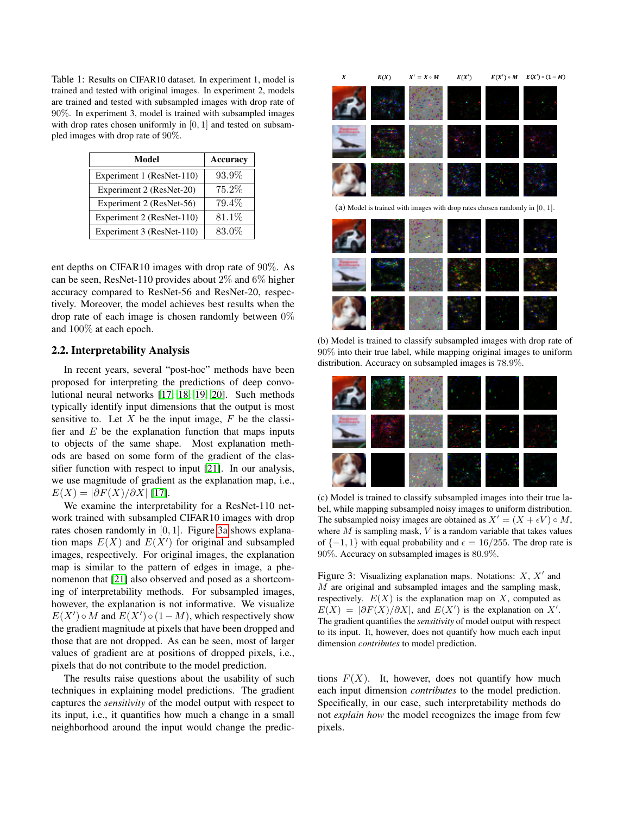<span id="page-2-0"></span>Table 1: Results on CIFAR10 dataset. In experiment 1, model is trained and tested with original images. In experiment 2, models are trained and tested with subsampled images with drop rate of 90%. In experiment 3, model is trained with subsampled images with drop rates chosen uniformly in  $[0, 1]$  and tested on subsampled images with drop rate of 90%.

| Model                     | <b>Accuracy</b> |
|---------------------------|-----------------|
| Experiment 1 (ResNet-110) | 93.9%           |
| Experiment 2 (ResNet-20)  | $75.2\%$        |
| Experiment 2 (ResNet-56)  | 79.4%           |
| Experiment 2 (ResNet-110) | 81.1\%          |
| Experiment 3 (ResNet-110) | 83.0%           |

ent depths on CIFAR10 images with drop rate of 90%. As can be seen, ResNet-110 provides about 2% and 6% higher accuracy compared to ResNet-56 and ResNet-20, respectively. Moreover, the model achieves best results when the drop rate of each image is chosen randomly between 0% and 100% at each epoch.

# 2.2. Interpretability Analysis

In recent years, several "post-hoc" methods have been proposed for interpreting the predictions of deep convolutional neural networks [\[17,](#page-6-16) [18,](#page-6-17) [19,](#page-6-18) [20\]](#page-6-19). Such methods typically identify input dimensions that the output is most sensitive to. Let  $X$  be the input image,  $F$  be the classifier and  $E$  be the explanation function that maps inputs to objects of the same shape. Most explanation methods are based on some form of the gradient of the classifier function with respect to input [\[21\]](#page-6-20). In our analysis, we use magnitude of gradient as the explanation map, i.e.,  $E(X) = |\partial F(X)/\partial X|$  [\[17\]](#page-6-16).

We examine the interpretability for a ResNet-110 network trained with subsampled CIFAR10 images with drop rates chosen randomly in [0, 1]. Figure [3a](#page-2-1) shows explanation maps  $E(X)$  and  $E(X')$  for original and subsampled images, respectively. For original images, the explanation map is similar to the pattern of edges in image, a phenomenon that [\[21\]](#page-6-20) also observed and posed as a shortcoming of interpretability methods. For subsampled images, however, the explanation is not informative. We visualize  $E(X') \circ M$  and  $E(X') \circ (1 - M)$ , which respectively show the gradient magnitude at pixels that have been dropped and those that are not dropped. As can be seen, most of larger values of gradient are at positions of dropped pixels, i.e., pixels that do not contribute to the model prediction.

The results raise questions about the usability of such techniques in explaining model predictions. The gradient captures the *sensitivity* of the model output with respect to its input, i.e., it quantifies how much a change in a small neighborhood around the input would change the predic-

<span id="page-2-1"></span>

(b) Model is trained to classify subsampled images with drop rate of 90% into their true label, while mapping original images to uniform distribution. Accuracy on subsampled images is 78.9%.



(c) Model is trained to classify subsampled images into their true label, while mapping subsampled noisy images to uniform distribution. The subsampled noisy images are obtained as  $X' = (X + \epsilon V) \circ M$ , where  $M$  is sampling mask,  $V$  is a random variable that takes values of  $\{-1, 1\}$  with equal probability and  $\epsilon = 16/255$ . The drop rate is 90%. Accuracy on subsampled images is 80.9%.

Figure 3: Visualizing explanation maps. Notations:  $X, X'$  and M are original and subsampled images and the sampling mask, respectively.  $E(X)$  is the explanation map on X, computed as  $E(X) = |\partial F(X)/\partial X|$ , and  $E(X')$  is the explanation on X'. The gradient quantifies the *sensitivity* of model output with respect to its input. It, however, does not quantify how much each input dimension *contributes* to model prediction.

tions  $F(X)$ . It, however, does not quantify how much each input dimension *contributes* to the model prediction. Specifically, in our case, such interpretability methods do not *explain how* the model recognizes the image from few pixels.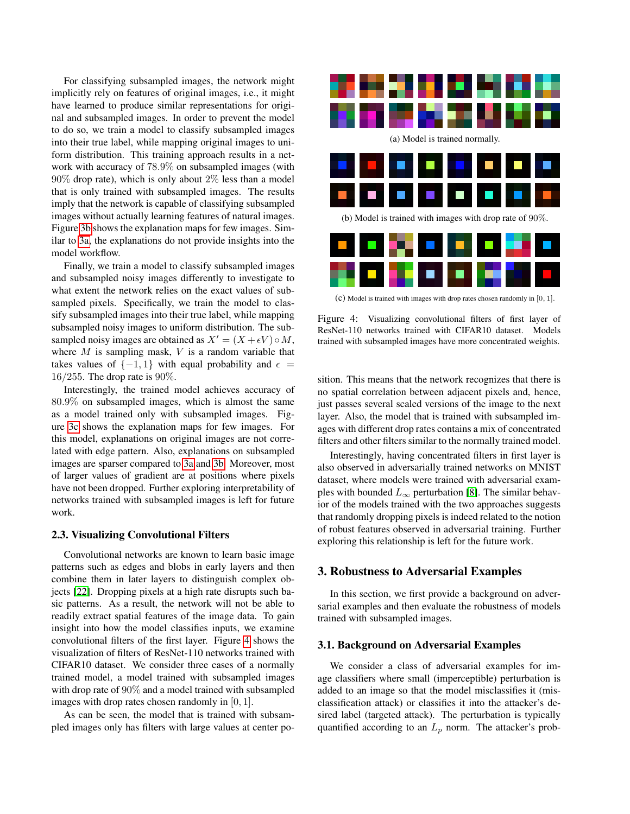For classifying subsampled images, the network might implicitly rely on features of original images, i.e., it might have learned to produce similar representations for original and subsampled images. In order to prevent the model to do so, we train a model to classify subsampled images into their true label, while mapping original images to uniform distribution. This training approach results in a network with accuracy of 78.9% on subsampled images (with 90% drop rate), which is only about 2% less than a model that is only trained with subsampled images. The results imply that the network is capable of classifying subsampled images without actually learning features of natural images. Figure [3b](#page-2-1) shows the explanation maps for few images. Similar to [3a,](#page-2-1) the explanations do not provide insights into the model workflow.

Finally, we train a model to classify subsampled images and subsampled noisy images differently to investigate to what extent the network relies on the exact values of subsampled pixels. Specifically, we train the model to classify subsampled images into their true label, while mapping subsampled noisy images to uniform distribution. The subsampled noisy images are obtained as  $X' = (X + \epsilon V) \circ M$ , where  $M$  is sampling mask,  $V$  is a random variable that takes values of  $\{-1, 1\}$  with equal probability and  $\epsilon$  =  $16/255$ . The drop rate is 90%.

Interestingly, the trained model achieves accuracy of 80.9% on subsampled images, which is almost the same as a model trained only with subsampled images. Figure [3c](#page-2-1) shows the explanation maps for few images. For this model, explanations on original images are not correlated with edge pattern. Also, explanations on subsampled images are sparser compared to [3a](#page-2-1) and [3b.](#page-2-1) Moreover, most of larger values of gradient are at positions where pixels have not been dropped. Further exploring interpretability of networks trained with subsampled images is left for future work.

### 2.3. Visualizing Convolutional Filters

Convolutional networks are known to learn basic image patterns such as edges and blobs in early layers and then combine them in later layers to distinguish complex objects [\[22\]](#page-6-21). Dropping pixels at a high rate disrupts such basic patterns. As a result, the network will not be able to readily extract spatial features of the image data. To gain insight into how the model classifies inputs, we examine convolutional filters of the first layer. Figure [4](#page-3-0) shows the visualization of filters of ResNet-110 networks trained with CIFAR10 dataset. We consider three cases of a normally trained model, a model trained with subsampled images with drop rate of 90% and a model trained with subsampled images with drop rates chosen randomly in [0, 1].

As can be seen, the model that is trained with subsampled images only has filters with large values at center po-

<span id="page-3-0"></span>

(c) Model is trained with images with drop rates chosen randomly in [0, 1].

Figure 4: Visualizing convolutional filters of first layer of ResNet-110 networks trained with CIFAR10 dataset. Models trained with subsampled images have more concentrated weights.

sition. This means that the network recognizes that there is no spatial correlation between adjacent pixels and, hence, just passes several scaled versions of the image to the next layer. Also, the model that is trained with subsampled images with different drop rates contains a mix of concentrated filters and other filters similar to the normally trained model.

Interestingly, having concentrated filters in first layer is also observed in adversarially trained networks on MNIST dataset, where models were trained with adversarial examples with bounded  $L_{\infty}$  perturbation [\[8\]](#page-6-7). The similar behavior of the models trained with the two approaches suggests that randomly dropping pixels is indeed related to the notion of robust features observed in adversarial training. Further exploring this relationship is left for the future work.

### 3. Robustness to Adversarial Examples

In this section, we first provide a background on adversarial examples and then evaluate the robustness of models trained with subsampled images.

#### 3.1. Background on Adversarial Examples

We consider a class of adversarial examples for image classifiers where small (imperceptible) perturbation is added to an image so that the model misclassifies it (misclassification attack) or classifies it into the attacker's desired label (targeted attack). The perturbation is typically quantified according to an  $L_p$  norm. The attacker's prob-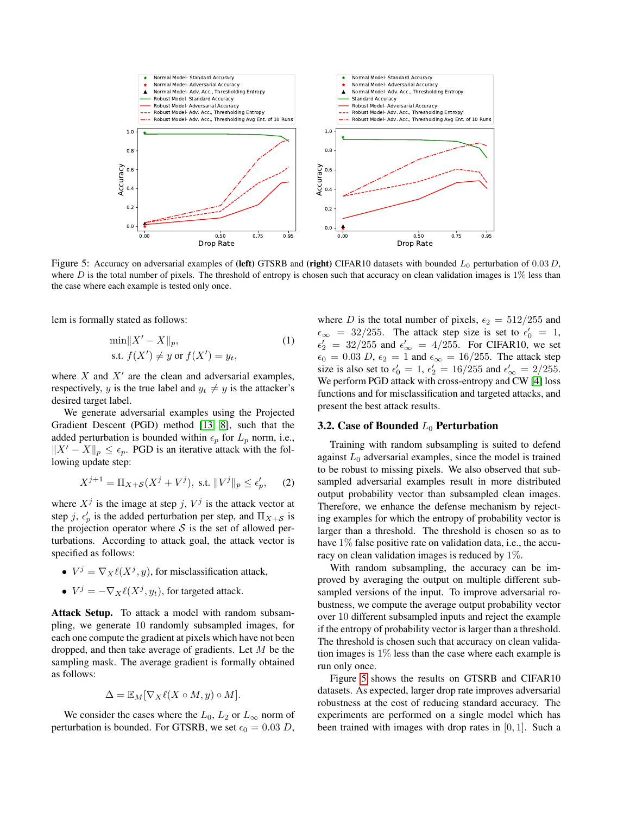<span id="page-4-0"></span>

Figure 5: Accuracy on adversarial examples of (left) GTSRB and (right) CIFAR10 datasets with bounded  $L_0$  perturbation of 0.03 D, where  $D$  is the total number of pixels. The threshold of entropy is chosen such that accuracy on clean validation images is  $1\%$  less than the case where each example is tested only once.

lem is formally stated as follows:

$$
\min \|X' - X\|_p,
$$
  
s.t.  $f(X') \neq y$  or  $f(X') = y_t,$  (1)

where  $X$  and  $X'$  are the clean and adversarial examples, respectively, y is the true label and  $y_t \neq y$  is the attacker's desired target label.

We generate adversarial examples using the Projected Gradient Descent (PGD) method [\[13,](#page-6-12) [8\]](#page-6-7), such that the added perturbation is bounded within  $\epsilon_p$  for  $L_p$  norm, i.e.,  $||X' - X||_p \leq \epsilon_p$ . PGD is an iterative attack with the following update step:

$$
X^{j+1} = \Pi_{X+S}(X^j + V^j), \text{ s.t. } ||V^j||_p \le \epsilon'_p, \qquad (2)
$$

where  $X^j$  is the image at step j,  $V^j$  is the attack vector at step j,  $\epsilon_p^j$  is the added perturbation per step, and  $\Pi_{X+S}$  is the projection operator where  $S$  is the set of allowed perturbations. According to attack goal, the attack vector is specified as follows:

- $V^j = \nabla_X \ell(X^j, y)$ , for misclassification attack,
- $V^j = -\nabla_X \ell(X^j, y_t)$ , for targeted attack.

Attack Setup. To attack a model with random subsampling, we generate 10 randomly subsampled images, for each one compute the gradient at pixels which have not been dropped, and then take average of gradients. Let M be the sampling mask. The average gradient is formally obtained as follows:

$$
\Delta = \mathbb{E}_M[\nabla_X \ell(X \circ M, y) \circ M].
$$

We consider the cases where the  $L_0$ ,  $L_2$  or  $L_{\infty}$  norm of perturbation is bounded. For GTSRB, we set  $\epsilon_0 = 0.03 D$ ,

where D is the total number of pixels,  $\epsilon_2 = 512/255$  and  $\epsilon_{\infty}$  = 32/255. The attack step size is set to  $\epsilon'_{0}$  = 1,  $\epsilon'_2 = 32/255$  and  $\epsilon'_{\infty} = 4/255$ . For CIFAR10, we set  $\epsilon_0 = 0.03 D$ ,  $\epsilon_2 = 1$  and  $\epsilon_{\infty} = 16/255$ . The attack step size is also set to  $\epsilon'_0 = 1$ ,  $\epsilon'_2 = 16/255$  and  $\epsilon'_{\infty} = 2/255$ . We perform PGD attack with cross-entropy and CW [\[4\]](#page-6-3) loss functions and for misclassification and targeted attacks, and present the best attack results.

### 3.2. Case of Bounded  $L_0$  Perturbation

Training with random subsampling is suited to defend against  $L_0$  adversarial examples, since the model is trained to be robust to missing pixels. We also observed that subsampled adversarial examples result in more distributed output probability vector than subsampled clean images. Therefore, we enhance the defense mechanism by rejecting examples for which the entropy of probability vector is larger than a threshold. The threshold is chosen so as to have 1% false positive rate on validation data, i.e., the accuracy on clean validation images is reduced by 1%.

With random subsampling, the accuracy can be improved by averaging the output on multiple different subsampled versions of the input. To improve adversarial robustness, we compute the average output probability vector over 10 different subsampled inputs and reject the example if the entropy of probability vector is larger than a threshold. The threshold is chosen such that accuracy on clean validation images is  $1\%$  less than the case where each example is run only once.

Figure [5](#page-4-0) shows the results on GTSRB and CIFAR10 datasets. As expected, larger drop rate improves adversarial robustness at the cost of reducing standard accuracy. The experiments are performed on a single model which has been trained with images with drop rates in [0, 1]. Such a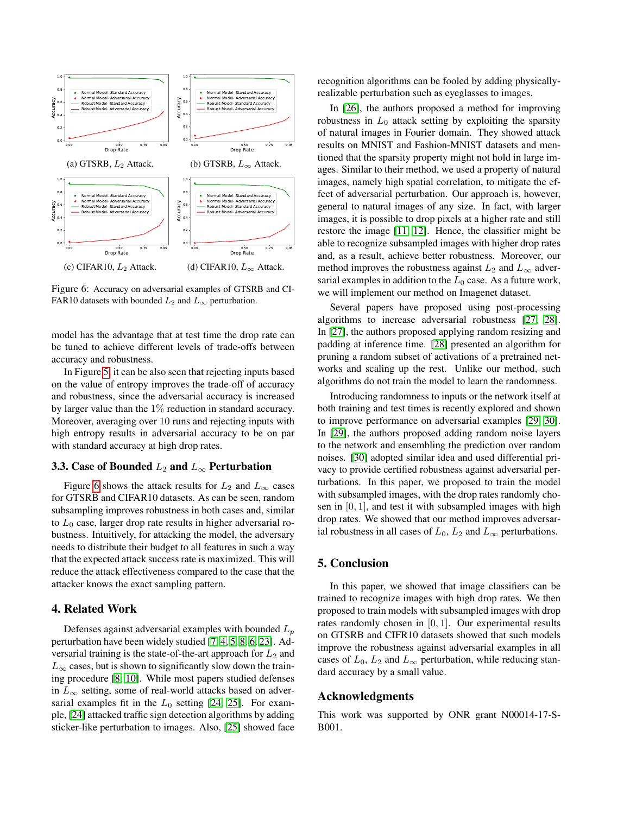<span id="page-5-0"></span>

Figure 6: Accuracy on adversarial examples of GTSRB and CI-FAR10 datasets with bounded  $L_2$  and  $L_\infty$  perturbation.

model has the advantage that at test time the drop rate can be tuned to achieve different levels of trade-offs between accuracy and robustness.

In Figure [5,](#page-4-0) it can be also seen that rejecting inputs based on the value of entropy improves the trade-off of accuracy and robustness, since the adversarial accuracy is increased by larger value than the 1% reduction in standard accuracy. Moreover, averaging over 10 runs and rejecting inputs with high entropy results in adversarial accuracy to be on par with standard accuracy at high drop rates.

### 3.3. Case of Bounded  $L_2$  and  $L_{\infty}$  Perturbation

Figure [6](#page-5-0) shows the attack results for  $L_2$  and  $L_{\infty}$  cases for GTSRB and CIFAR10 datasets. As can be seen, random subsampling improves robustness in both cases and, similar to  $L_0$  case, larger drop rate results in higher adversarial robustness. Intuitively, for attacking the model, the adversary needs to distribute their budget to all features in such a way that the expected attack success rate is maximized. This will reduce the attack effectiveness compared to the case that the attacker knows the exact sampling pattern.

# 4. Related Work

Defenses against adversarial examples with bounded  $L_p$ perturbation have been widely studied [\[7,](#page-6-6) [4,](#page-6-3) [5,](#page-6-4) [8,](#page-6-7) [6,](#page-6-5) [23\]](#page-6-22). Adversarial training is the state-of-the-art approach for  $L_2$  and  $L_{\infty}$  cases, but is shown to significantly slow down the training procedure [\[8,](#page-6-7) [10\]](#page-6-9). While most papers studied defenses in  $L_{\infty}$  setting, some of real-world attacks based on adversarial examples fit in the  $L_0$  setting [\[24,](#page-6-23) [25\]](#page-6-24). For example, [\[24\]](#page-6-23) attacked traffic sign detection algorithms by adding sticker-like perturbation to images. Also, [\[25\]](#page-6-24) showed face recognition algorithms can be fooled by adding physicallyrealizable perturbation such as eyeglasses to images.

In [\[26\]](#page-6-25), the authors proposed a method for improving robustness in  $L_0$  attack setting by exploiting the sparsity of natural images in Fourier domain. They showed attack results on MNIST and Fashion-MNIST datasets and mentioned that the sparsity property might not hold in large images. Similar to their method, we used a property of natural images, namely high spatial correlation, to mitigate the effect of adversarial perturbation. Our approach is, however, general to natural images of any size. In fact, with larger images, it is possible to drop pixels at a higher rate and still restore the image [\[11,](#page-6-10) [12\]](#page-6-11). Hence, the classifier might be able to recognize subsampled images with higher drop rates and, as a result, achieve better robustness. Moreover, our method improves the robustness against  $L_2$  and  $L_{\infty}$  adversarial examples in addition to the  $L_0$  case. As a future work, we will implement our method on Imagenet dataset.

Several papers have proposed using post-processing algorithms to increase adversarial robustness [\[27,](#page-6-26) [28\]](#page-6-27). In [\[27\]](#page-6-26), the authors proposed applying random resizing and padding at inference time. [\[28\]](#page-6-27) presented an algorithm for pruning a random subset of activations of a pretrained networks and scaling up the rest. Unlike our method, such algorithms do not train the model to learn the randomness.

Introducing randomness to inputs or the network itself at both training and test times is recently explored and shown to improve performance on adversarial examples [\[29,](#page-6-28) [30\]](#page-6-29). In [\[29\]](#page-6-28), the authors proposed adding random noise layers to the network and ensembling the prediction over random noises. [\[30\]](#page-6-29) adopted similar idea and used differential privacy to provide certified robustness against adversarial perturbations. In this paper, we proposed to train the model with subsampled images, with the drop rates randomly chosen in  $[0, 1]$ , and test it with subsampled images with high drop rates. We showed that our method improves adversarial robustness in all cases of  $L_0$ ,  $L_2$  and  $L_{\infty}$  perturbations.

#### 5. Conclusion

In this paper, we showed that image classifiers can be trained to recognize images with high drop rates. We then proposed to train models with subsampled images with drop rates randomly chosen in [0, 1]. Our experimental results on GTSRB and CIFR10 datasets showed that such models improve the robustness against adversarial examples in all cases of  $L_0$ ,  $L_2$  and  $L_{\infty}$  perturbation, while reducing standard accuracy by a small value.

## Acknowledgments

This work was supported by ONR grant N00014-17-S-B001.